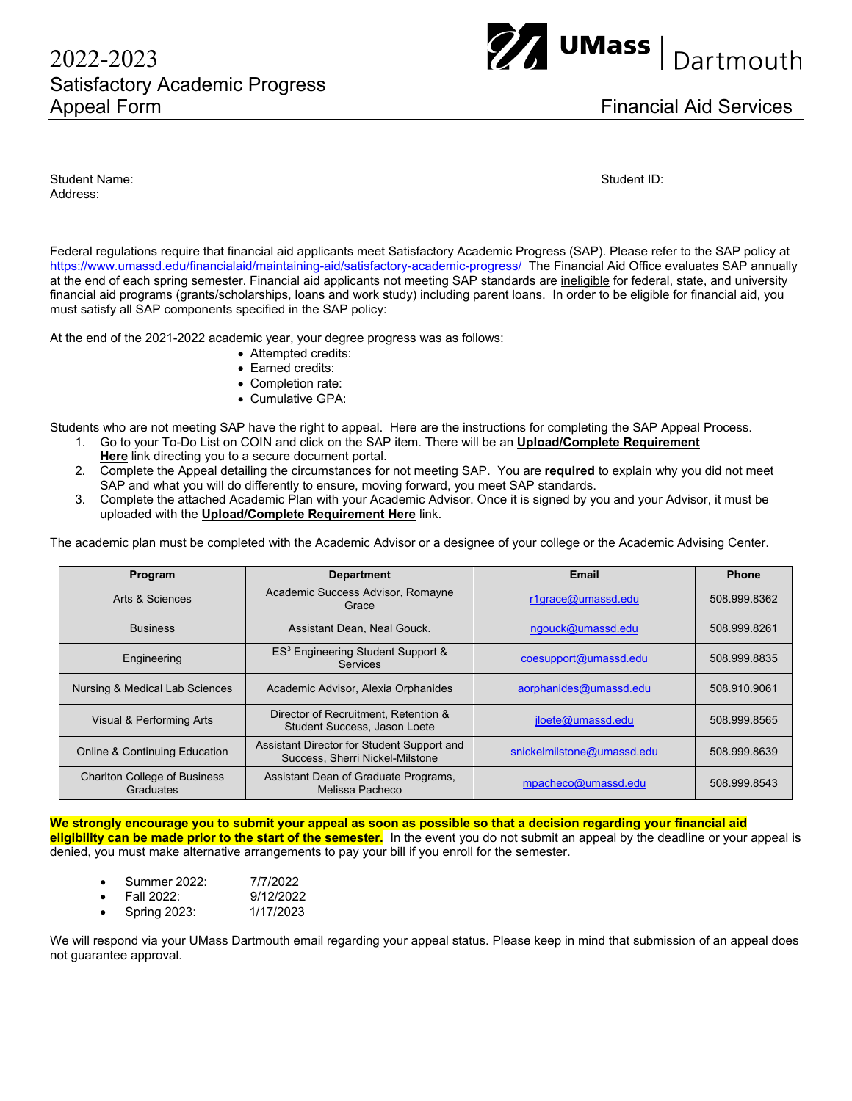## 2022-2023Satisfactory Academic Progress Appeal Form **Financial Aid Services**



Student Name: Student ID: Address:

Federal regulations require that financial aid applicants meet Satisfactory Academic Progress (SAP). Please refer to the SAP policy at https://www.umassd.edu/financialaid/maintaining-aid/satisfactory-academic-progress/ The Financial Aid Office evaluates SAP annually at the end of each spring semester. Financial aid applicants not meeting SAP standards are ineligible for federal, state, and university financial aid programs (grants/scholarships, loans and work study) including parent loans. In order to be eligible for financial aid, you must satisfy all SAP components specified in the SAP policy:

At the end of the 2021-2022 academic year, your degree progress was as follows:

- Attempted credits:
- Earned credits:
- Completion rate:
- Cumulative GPA:

Students who are not meeting SAP have the right to appeal. Here are the instructions for completing the SAP Appeal Process.

- 1. Go to your To-Do List on COIN and click on the SAP item. There will be an **Upload/Complete Requirement Here** link directing you to a secure document portal.
- 2. Complete the Appeal detailing the circumstances for not meeting SAP. You are **required** to explain why you did not meet SAP and what you will do differently to ensure, moving forward, you meet SAP standards.
- 3. Complete the attached Academic Plan with your Academic Advisor. Once it is signed by you and your Advisor, it must be uploaded with the **Upload/Complete Requirement Here** link.

The academic plan must be completed with the Academic Advisor or a designee of your college or the Academic Advising Center.

| Program                                          | <b>Department</b>                                                             | Email                      | <b>Phone</b> |
|--------------------------------------------------|-------------------------------------------------------------------------------|----------------------------|--------------|
| Arts & Sciences                                  | Academic Success Advisor, Romayne<br>Grace                                    | r1qrace@umassd.edu         | 508.999.8362 |
| <b>Business</b>                                  | Assistant Dean, Neal Gouck.                                                   | ngouck@umassd.edu          | 508.999.8261 |
| Engineering                                      | ES <sup>3</sup> Engineering Student Support &<br>Services                     | coesupport@umassd.edu      | 508.999.8835 |
| Nursing & Medical Lab Sciences                   | Academic Advisor, Alexia Orphanides                                           | aorphanides@umassd.edu     | 508.910.9061 |
| Visual & Performing Arts                         | Director of Recruitment, Retention &<br>Student Success, Jason Loete          | jloete@umassd.edu          | 508.999.8565 |
| <b>Online &amp; Continuing Education</b>         | Assistant Director for Student Support and<br>Success, Sherri Nickel-Milstone | snickelmilstone@umassd.edu | 508.999.8639 |
| <b>Charlton College of Business</b><br>Graduates | Assistant Dean of Graduate Programs,<br>Melissa Pacheco                       | mpacheco@umassd.edu        | 508.999.8543 |

**We strongly encourage you to submit your appeal as soon as possible so that a decision regarding your financial aid eligibility can be made prior to the start of the semester.** In the event you do not submit an appeal by the deadline or your appeal is denied, you must make alternative arrangements to pay your bill if you enroll for the semester.

- Summer 2022: 7/7/2022
- Fall 2022: 9/12/2022
- Spring 2023: 1/17/2023

We will respond via your UMass Dartmouth email regarding your appeal status. Please keep in mind that submission of an appeal does not guarantee approval.